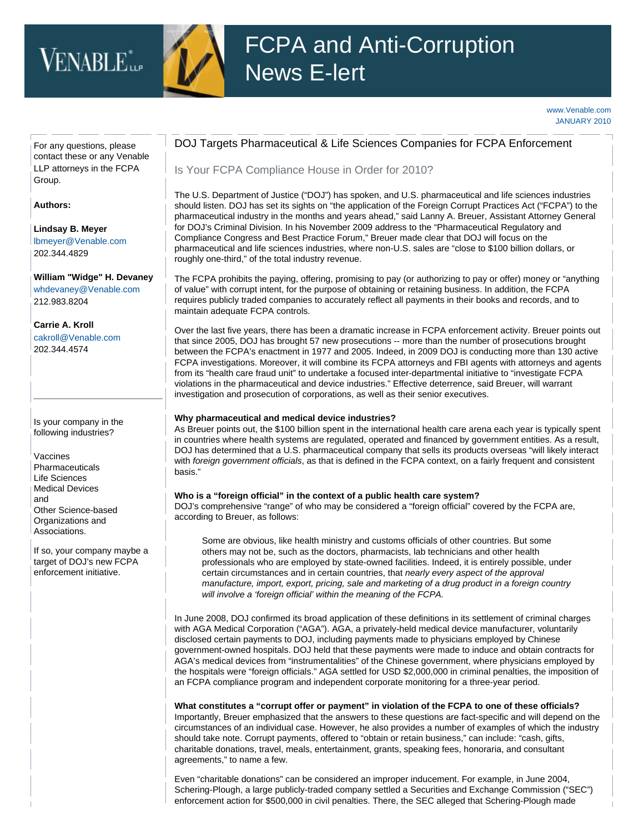# VENABLE<sup>\*</sup><sub>LLP</sub>



## FCPA and Anti-Corruption News E-lert

#### [www.Venable.com](http://www.venable.com/) JANUARY 2010

For any questions, please contact these or any [Venable](http://www.venable.com/services/practices/ServiceDetail.aspx?service=261&view=pros)  [LLP attorneys in the FCPA](http://www.venable.com/services/practices/ServiceDetail.aspx?service=261&view=pros) [Group.](http://www.venable.com/services/practices/ServiceDetail.aspx?service=261&view=pros)

**Authors:**

**[Lindsay B. Meyer](http://www.venable.com/lindsay-b-meyer/)**  [lbmeyer@Venable.com](mailto:lbmeyer@Venable.com) 202.344.4829

**[William "Widge" H. Devaney](http://www.venable.com/william-h-devaney/)** [whdevaney@Venable.com](mailto:whdevaney@Venable.com) 212.983.8204

**[Carrie A.](http://www.venable.com/carrie-a-kroll/) [Kroll](http://www.venable.com/carrie-a-kroll/)** [cakroll@Venable.com](mailto:cakroll@Venable.com)  202.344.4574

Is your company in the following industries?

Vaccines **Pharmaceuticals** Life Sciences Medical Devices and Other Science-based Organizations and Associations.

If so, your company maybe a target of DOJ's new FCPA enforcement initiative.

### DOJ Targets Pharmaceutical & Life Sciences Companies for FCPA Enforcement

Is Your FCPA Compliance House in Order for 2010?

The U.S. Department of Justice ("DOJ") has spoken, and U.S. pharmaceutical and life sciences industries should listen. DOJ has set its sights on "the application of the Foreign Corrupt Practices Act ("FCPA") to the pharmaceutical industry in the months and years ahead," said Lanny A. Breuer, Assistant Attorney General for DOJ's Criminal Division. In his November 2009 address to the "Pharmaceutical Regulatory and Compliance Congress and Best Practice Forum," Breuer made clear that DOJ will focus on the pharmaceutical and life sciences industries, where non-U.S. sales are "close to \$100 billion dollars, or roughly one-third," of the total industry revenue.

The FCPA prohibits the paying, offering, promising to pay (or authorizing to pay or offer) money or "anything of value" with corrupt intent, for the purpose of obtaining or retaining business. In addition, the FCPA requires publicly traded companies to accurately reflect all payments in their books and records, and to maintain adequate FCPA controls.

Over the last five years, there has been a dramatic increase in FCPA enforcement activity. Breuer points out that since 2005, DOJ has brought 57 new prosecutions -- more than the number of prosecutions brought between the FCPA's enactment in 1977 and 2005. Indeed, in 2009 DOJ is conducting more than 130 active FCPA investigations. Moreover, it will combine its FCPA attorneys and FBI agents with attorneys and agents from its "health care fraud unit" to undertake a focused inter-departmental initiative to "investigate FCPA violations in the pharmaceutical and device industries." Effective deterrence, said Breuer, will warrant investigation and prosecution of corporations, as well as their senior executives.

#### **Why pharmaceutical and medical device industries?**

As Breuer points out, the \$100 billion spent in the international health care arena each year is typically spent in countries where health systems are regulated, operated and financed by government entities. As a result, DOJ has determined that a U.S. pharmaceutical company that sells its products overseas "will likely interact with *foreign government officials*, as that is defined in the FCPA context, on a fairly frequent and consistent basis."

#### **Who is a "foreign official" in the context of a public health care system?**

DOJ's comprehensive "range" of who may be considered a "foreign official" covered by the FCPA are, according to Breuer, as follows:

Some are obvious, like health ministry and customs officials of other countries. But some others may not be, such as the doctors, pharmacists, lab technicians and other health professionals who are employed by state-owned facilities. Indeed, it is entirely possible, under certain circumstances and in certain countries, that *nearly every aspect of the approval manufacture, import, export, pricing, sale and marketing of a drug product in a foreign country will involve a 'foreign official' within the meaning of the FCPA.*

In June 2008, DOJ confirmed its broad application of these definitions in its settlement of criminal charges with AGA Medical Corporation ("AGA"). AGA, a privately-held medical device manufacturer, voluntarily disclosed certain payments to DOJ, including payments made to physicians employed by Chinese government-owned hospitals. DOJ held that these payments were made to induce and obtain contracts for AGA's medical devices from "instrumentalities" of the Chinese government, where physicians employed by the hospitals were "foreign officials." AGA settled for USD \$2,000,000 in criminal penalties, the imposition of an FCPA compliance program and independent corporate monitoring for a three-year period.

**What constitutes a "corrupt offer or payment" in violation of the FCPA to one of these officials?** Importantly, Breuer emphasized that the answers to these questions are fact-specific and will depend on the circumstances of an individual case. However, he also provides a number of examples of which the industry should take note. Corrupt payments, offered to "obtain or retain business," can include: "cash, gifts, charitable donations, travel, meals, entertainment, grants, speaking fees, honoraria, and consultant agreements," to name a few.

Even "charitable donations" can be considered an improper inducement. For example, in June 2004, Schering-Plough, a large publicly-traded company settled a Securities and Exchange Commission ("SEC") enforcement action for \$500,000 in civil penalties. There, the SEC alleged that Schering-Plough made